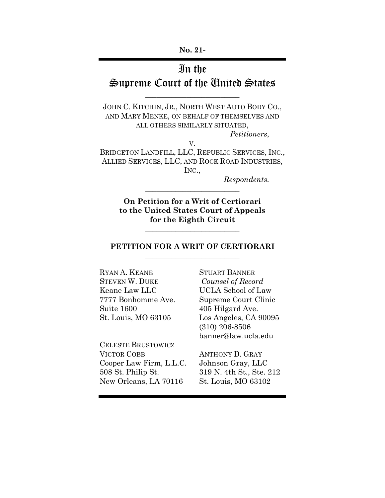# In the

# Supreme Court of the United States  $\overline{\phantom{a}}$  , where  $\overline{\phantom{a}}$  , where  $\overline{\phantom{a}}$  , where  $\overline{\phantom{a}}$  , where  $\overline{\phantom{a}}$

JOHN C. KITCHIN, JR., NORTH WEST AUTO BODY CO., AND MARY MENKE, ON BEHALF OF THEMSELVES AND ALL OTHERS SIMILARLY SITUATED,

*Petitioners*,

BRIDGETON LANDFILL, LLC, REPUBLIC SERVICES, INC., ALLIED SERVICES, LLC, AND ROCK ROAD INDUSTRIES, INC.,

V.

*Respondents.*

**On Petition for a Writ of Certiorari to the United States Court of Appeals for the Eighth Circuit**

\_\_\_\_\_\_\_\_\_\_\_\_\_\_\_\_\_\_\_\_\_\_\_\_\_

\_\_\_\_\_\_\_\_\_\_\_\_\_\_\_\_\_\_\_\_\_\_\_\_\_

### **PETITION FOR A WRIT OF CERTIORARI** \_\_\_\_\_\_\_\_\_\_\_\_\_\_\_\_\_\_\_\_\_\_\_\_\_

RYAN A. KEANE STUART BANNER STEVEN W. DUKE *Counsel of Record* Keane Law LLC UCLA School of Law 7777 Bonhomme Ave. Supreme Court Clinic Suite 1600 405 Hilgard Ave.

CELESTE BRUSTOWICZ VICTOR COBB ANTHONY D. GRAY Cooper Law Firm, L.L.C. Johnson Gray, LLC 508 St. Philip St. 319 N. 4th St., Ste. 212 New Orleans, LA 70116 St. Louis, MO 63102

St. Louis, MO 63105 Los Angeles, CA 90095 (310) 206-8506 banner@law.ucla.edu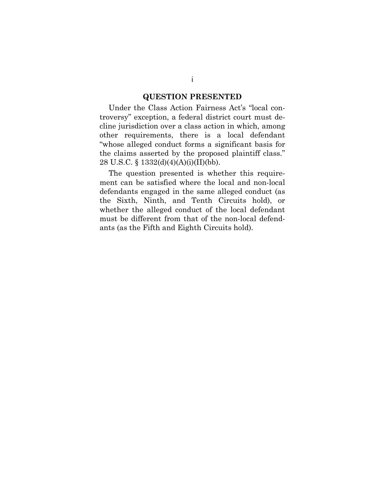#### **QUESTION PRESENTED**

Under the Class Action Fairness Act's "local controversy" exception, a federal district court must decline jurisdiction over a class action in which, among other requirements, there is a local defendant "whose alleged conduct forms a significant basis for the claims asserted by the proposed plaintiff class." 28 U.S.C. § 1332(d)(4)(A)(i)(II)(bb).

The question presented is whether this requirement can be satisfied where the local and non-local defendants engaged in the same alleged conduct (as the Sixth, Ninth, and Tenth Circuits hold), or whether the alleged conduct of the local defendant must be different from that of the non-local defendants (as the Fifth and Eighth Circuits hold).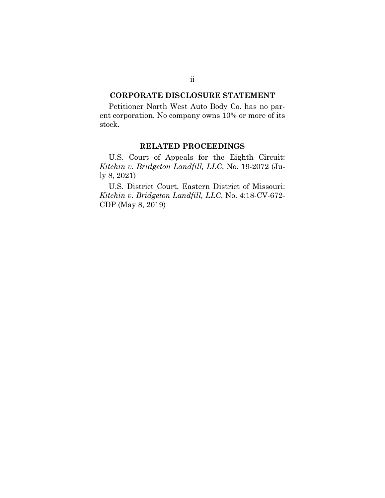#### **CORPORATE DISCLOSURE STATEMENT**

Petitioner North West Auto Body Co. has no parent corporation. No company owns 10% or more of its stock.

#### **RELATED PROCEEDINGS**

U.S. Court of Appeals for the Eighth Circuit: *Kitchin v. Bridgeton Landfill, LLC*, No. 19-2072 (July 8, 2021)

U.S. District Court, Eastern District of Missouri: *Kitchin v. Bridgeton Landfill, LLC*, No. 4:18-CV-672- CDP (May 8, 2019)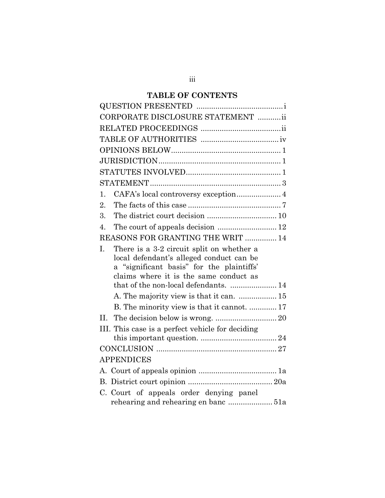## **TABLE OF CONTENTS**

| CORPORATE DISCLOSURE STATEMENT ii                                                                                                                                                                                           |
|-----------------------------------------------------------------------------------------------------------------------------------------------------------------------------------------------------------------------------|
|                                                                                                                                                                                                                             |
|                                                                                                                                                                                                                             |
|                                                                                                                                                                                                                             |
|                                                                                                                                                                                                                             |
|                                                                                                                                                                                                                             |
|                                                                                                                                                                                                                             |
| CAFA's local controversy exception 4<br>1.                                                                                                                                                                                  |
| 2.                                                                                                                                                                                                                          |
| 3.                                                                                                                                                                                                                          |
| $\overline{4}$ .                                                                                                                                                                                                            |
| REASONS FOR GRANTING THE WRIT  14                                                                                                                                                                                           |
| L.<br>There is a 3-2 circuit split on whether a<br>local defendant's alleged conduct can be<br>a "significant basis" for the plaintiffs'<br>claims where it is the same conduct as<br>that of the non-local defendants.  14 |
| A. The majority view is that it can.  15                                                                                                                                                                                    |
| B. The minority view is that it cannot.  17                                                                                                                                                                                 |
| II.                                                                                                                                                                                                                         |
| III. This case is a perfect vehicle for deciding                                                                                                                                                                            |
|                                                                                                                                                                                                                             |
| <b>APPENDICES</b>                                                                                                                                                                                                           |
|                                                                                                                                                                                                                             |
|                                                                                                                                                                                                                             |
| C. Court of appeals order denying panel<br>rehearing and rehearing en banc  51a                                                                                                                                             |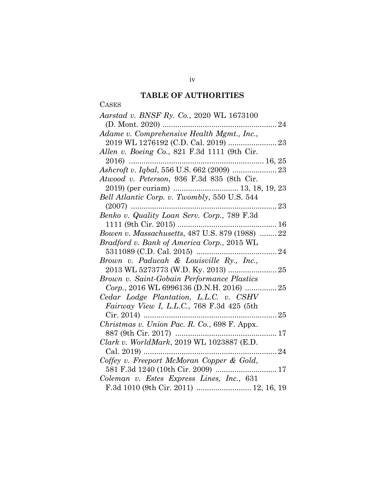## **TABLE OF AUTHORITIES**

CASES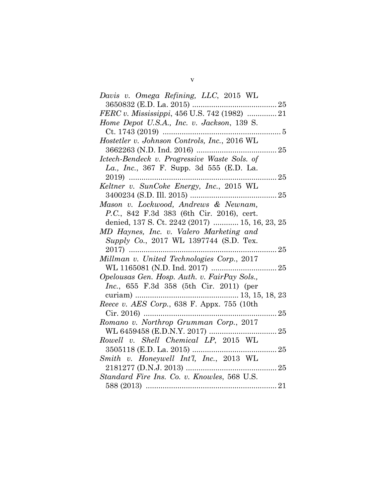| Davis v. Omega Refining, LLC, 2015 WL           |
|-------------------------------------------------|
| 3650832 (E.D. La. 2015)                         |
| FERC v. Mississippi, 456 U.S. 742 (1982)  21    |
| Home Depot U.S.A., Inc. v. Jackson, 139 S.      |
| $Ct. 1743 (2019)$                               |
| Hostetler v. Johnson Controls, Inc., 2016 WL    |
|                                                 |
| Ictech-Bendeck v. Progressive Waste Sols. of    |
| La., Inc., 367 F. Supp. 3d 555 (E.D. La.        |
|                                                 |
| Keltner v. SunCoke Energy, Inc., 2015 WL        |
|                                                 |
| Mason v. Lockwood, Andrews & Newnam,            |
| P.C., 842 F.3d 383 (6th Cir. 2016), cert.       |
| denied, 137 S. Ct. 2242 (2017)  15, 16, 23, 25  |
| MD Haynes, Inc. v. Valero Marketing and         |
| Supply Co., 2017 WL 1397744 (S.D. Tex.          |
| 25<br>2017)                                     |
| Millman v. United Technologies Corp., 2017      |
|                                                 |
| Opelousas Gen. Hosp. Auth. v. FairPay Sols.,    |
| <i>Inc.</i> , 655 F.3d 358 (5th Cir. 2011) (per |
| curiam)                                         |
| Reece v. AES Corp., 638 F. Appx. 755 (10th      |
|                                                 |
| Romano v. Northrop Grumman Corp., 2017          |
|                                                 |
| Rowell v. Shell Chemical LP, 2015 WL            |
| 25                                              |
| Smith v. Honeywell Int'l, Inc., 2013 WL         |
|                                                 |
| Standard Fire Ins. Co. v. Knowles, 568 U.S.     |
|                                                 |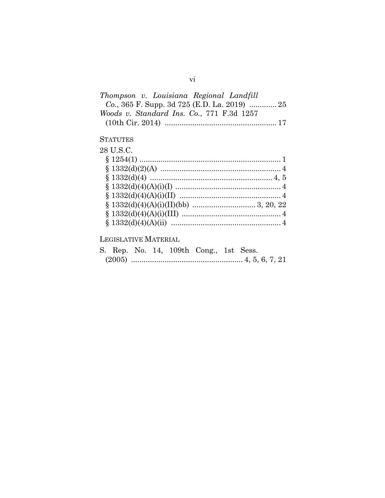| Thompson v. Louisiana Regional Landfill   |  |
|-------------------------------------------|--|
|                                           |  |
| Woods v. Standard Ins. Co., 771 F.3d 1257 |  |
|                                           |  |

## **STATUTES**

| 28 U.S.C. |  |
|-----------|--|
|           |  |
|           |  |
|           |  |
|           |  |
|           |  |
|           |  |
|           |  |
|           |  |
|           |  |

## LEGISLATIVE MATERIAL

|  |  | S. Rep. No. 14, 109th Cong., 1st Sess. |  |  |
|--|--|----------------------------------------|--|--|
|  |  |                                        |  |  |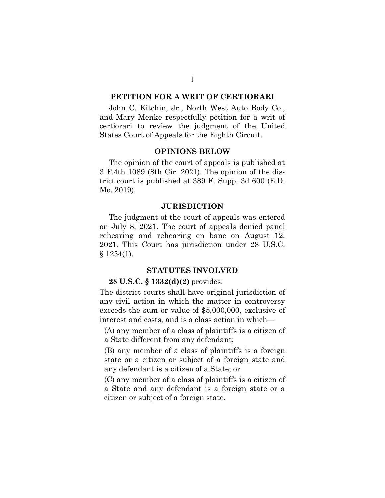#### **PETITION FOR A WRIT OF CERTIORARI**

John C. Kitchin, Jr., North West Auto Body Co., and Mary Menke respectfully petition for a writ of certiorari to review the judgment of the United States Court of Appeals for the Eighth Circuit.

#### **OPINIONS BELOW**

The opinion of the court of appeals is published at 3 F.4th 1089 (8th Cir. 2021). The opinion of the district court is published at 389 F. Supp. 3d 600 (E.D. Mo. 2019).

#### **JURISDICTION**

The judgment of the court of appeals was entered on July 8, 2021. The court of appeals denied panel rehearing and rehearing en banc on August 12, 2021. This Court has jurisdiction under 28 U.S.C.  $§ 1254(1).$ 

### **STATUTES INVOLVED**

#### **28 U.S.C. § 1332(d)(2)** provides:

The district courts shall have original jurisdiction of any civil action in which the matter in controversy exceeds the sum or value of \$5,000,000, exclusive of interest and costs, and is a class action in which—

(A) any member of a class of plaintiffs is a citizen of a State different from any defendant;

(B) any member of a class of plaintiffs is a foreign state or a citizen or subject of a foreign state and any defendant is a citizen of a State; or

(C) any member of a class of plaintiffs is a citizen of a State and any defendant is a foreign state or a citizen or subject of a foreign state.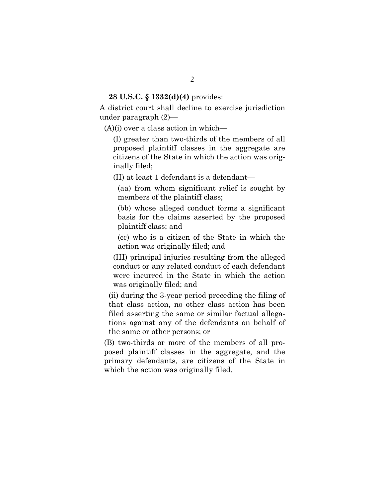#### **28 U.S.C. § 1332(d)(4)** provides:

A district court shall decline to exercise jurisdiction under paragraph (2)—

(A)(i) over a class action in which—

(I) greater than two-thirds of the members of all proposed plaintiff classes in the aggregate are citizens of the State in which the action was originally filed;

(II) at least 1 defendant is a defendant—

(aa) from whom significant relief is sought by members of the plaintiff class;

(bb) whose alleged conduct forms a significant basis for the claims asserted by the proposed plaintiff class; and

(cc) who is a citizen of the State in which the action was originally filed; and

(III) principal injuries resulting from the alleged conduct or any related conduct of each defendant were incurred in the State in which the action was originally filed; and

(ii) during the 3-year period preceding the filing of that class action, no other class action has been filed asserting the same or similar factual allegations against any of the defendants on behalf of the same or other persons; or

(B) two-thirds or more of the members of all proposed plaintiff classes in the aggregate, and the primary defendants, are citizens of the State in which the action was originally filed.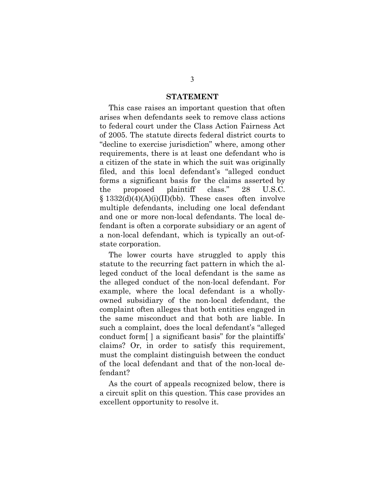#### **STATEMENT**

This case raises an important question that often arises when defendants seek to remove class actions to federal court under the Class Action Fairness Act of 2005. The statute directs federal district courts to "decline to exercise jurisdiction" where, among other requirements, there is at least one defendant who is a citizen of the state in which the suit was originally filed, and this local defendant's "alleged conduct forms a significant basis for the claims asserted by the proposed plaintiff class." 28 U.S.C.  $§$  1332(d)(4)(A)(i)(II)(bb). These cases often involve multiple defendants, including one local defendant and one or more non-local defendants. The local defendant is often a corporate subsidiary or an agent of a non-local defendant, which is typically an out-ofstate corporation.

The lower courts have struggled to apply this statute to the recurring fact pattern in which the alleged conduct of the local defendant is the same as the alleged conduct of the non-local defendant. For example, where the local defendant is a whollyowned subsidiary of the non-local defendant, the complaint often alleges that both entities engaged in the same misconduct and that both are liable. In such a complaint, does the local defendant's "alleged conduct form[ ] a significant basis" for the plaintiffs' claims? Or, in order to satisfy this requirement, must the complaint distinguish between the conduct of the local defendant and that of the non-local defendant?

As the court of appeals recognized below, there is a circuit split on this question. This case provides an excellent opportunity to resolve it.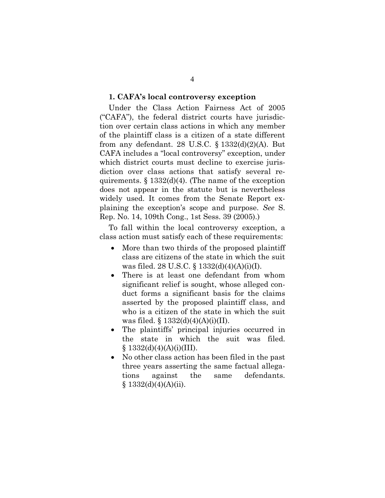#### **1. CAFA's local controversy exception**

Under the Class Action Fairness Act of 2005 ("CAFA"), the federal district courts have jurisdiction over certain class actions in which any member of the plaintiff class is a citizen of a state different from any defendant. 28 U.S.C.  $\S 1332(d)(2)(A)$ . But CAFA includes a "local controversy" exception, under which district courts must decline to exercise jurisdiction over class actions that satisfy several requirements.  $\S 1332(d)(4)$ . (The name of the exception does not appear in the statute but is nevertheless widely used. It comes from the Senate Report explaining the exception's scope and purpose. *See* S. Rep. No. 14, 109th Cong., 1st Sess. 39 (2005).)

To fall within the local controversy exception, a class action must satisfy each of these requirements:

- More than two thirds of the proposed plaintiff class are citizens of the state in which the suit was filed. 28 U.S.C. § 1332(d)(4)(A)(i)(I).
- There is at least one defendant from whom significant relief is sought, whose alleged conduct forms a significant basis for the claims asserted by the proposed plaintiff class, and who is a citizen of the state in which the suit was filed.  $\S 1332(d)(4)(A)(i)(II)$ .
- The plaintiffs' principal injuries occurred in the state in which the suit was filed.  $§ 1332(d)(4)(A)(i)(III).$
- No other class action has been filed in the past three years asserting the same factual allegations against the same defendants. § 1332(d)(4)(A)(ii).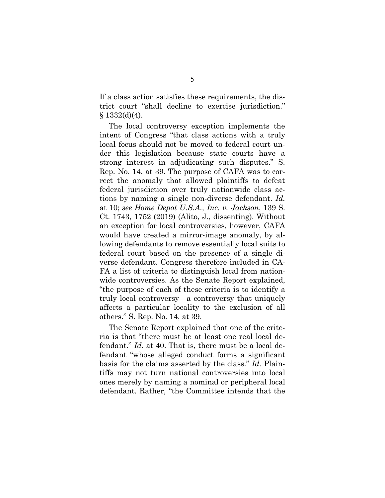If a class action satisfies these requirements, the district court "shall decline to exercise jurisdiction."  $§$  1332(d)(4).

The local controversy exception implements the intent of Congress "that class actions with a truly local focus should not be moved to federal court under this legislation because state courts have a strong interest in adjudicating such disputes." S. Rep. No. 14, at 39. The purpose of CAFA was to correct the anomaly that allowed plaintiffs to defeat federal jurisdiction over truly nationwide class actions by naming a single non-diverse defendant. *Id.* at 10; *see Home Depot U.S.A., Inc. v. Jackson*, 139 S. Ct. 1743, 1752 (2019) (Alito, J., dissenting). Without an exception for local controversies, however, CAFA would have created a mirror-image anomaly, by allowing defendants to remove essentially local suits to federal court based on the presence of a single diverse defendant. Congress therefore included in CA-FA a list of criteria to distinguish local from nationwide controversies. As the Senate Report explained, "the purpose of each of these criteria is to identify a truly local controversy—a controversy that uniquely affects a particular locality to the exclusion of all others." S. Rep. No. 14, at 39.

The Senate Report explained that one of the criteria is that "there must be at least one real local defendant." *Id.* at 40. That is, there must be a local defendant "whose alleged conduct forms a significant basis for the claims asserted by the class." *Id.* Plaintiffs may not turn national controversies into local ones merely by naming a nominal or peripheral local defendant. Rather, "the Committee intends that the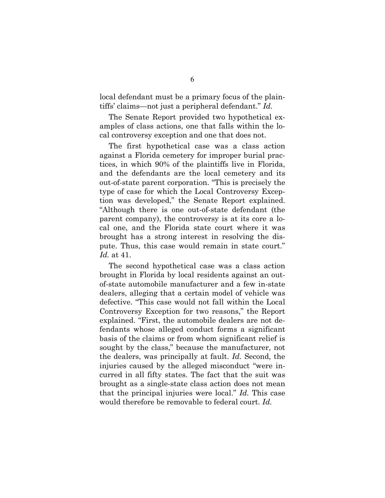local defendant must be a primary focus of the plaintiffs' claims—not just a peripheral defendant." *Id.*

The Senate Report provided two hypothetical examples of class actions, one that falls within the local controversy exception and one that does not.

The first hypothetical case was a class action against a Florida cemetery for improper burial practices, in which 90% of the plaintiffs live in Florida, and the defendants are the local cemetery and its out-of-state parent corporation. "This is precisely the type of case for which the Local Controversy Exception was developed," the Senate Report explained. "Although there is one out-of-state defendant (the parent company), the controversy is at its core a local one, and the Florida state court where it was brought has a strong interest in resolving the dispute. Thus, this case would remain in state court." *Id.* at 41.

The second hypothetical case was a class action brought in Florida by local residents against an outof-state automobile manufacturer and a few in-state dealers, alleging that a certain model of vehicle was defective. "This case would not fall within the Local Controversy Exception for two reasons," the Report explained. "First, the automobile dealers are not defendants whose alleged conduct forms a significant basis of the claims or from whom significant relief is sought by the class," because the manufacturer, not the dealers, was principally at fault. *Id.* Second, the injuries caused by the alleged misconduct "were incurred in all fifty states. The fact that the suit was brought as a single-state class action does not mean that the principal injuries were local." *Id.* This case would therefore be removable to federal court. *Id.*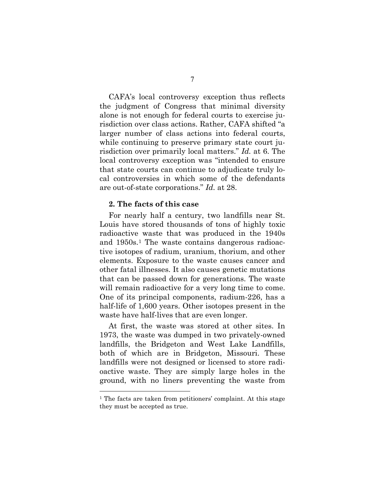CAFA's local controversy exception thus reflects the judgment of Congress that minimal diversity alone is not enough for federal courts to exercise jurisdiction over class actions. Rather, CAFA shifted "a larger number of class actions into federal courts, while continuing to preserve primary state court jurisdiction over primarily local matters." *Id.* at 6. The local controversy exception was "intended to ensure that state courts can continue to adjudicate truly local controversies in which some of the defendants are out-of-state corporations." *Id.* at 28.

#### **2. The facts of this case**

For nearly half a century, two landfills near St. Louis have stored thousands of tons of highly toxic radioactive waste that was produced in the 1940s and 1950s.[1](#page-13-0) The waste contains dangerous radioactive isotopes of radium, uranium, thorium, and other elements. Exposure to the waste causes cancer and other fatal illnesses. It also causes genetic mutations that can be passed down for generations. The waste will remain radioactive for a very long time to come. One of its principal components, radium-226, has a half-life of 1,600 years. Other isotopes present in the waste have half-lives that are even longer.

At first, the waste was stored at other sites. In 1973, the waste was dumped in two privately-owned landfills, the Bridgeton and West Lake Landfills, both of which are in Bridgeton, Missouri. These landfills were not designed or licensed to store radioactive waste. They are simply large holes in the ground, with no liners preventing the waste from

<span id="page-13-0"></span><sup>1</sup> The facts are taken from petitioners' complaint. At this stage they must be accepted as true.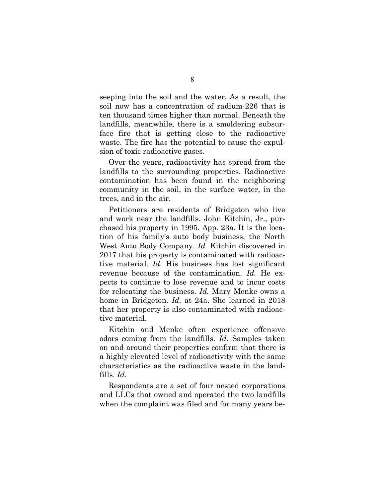seeping into the soil and the water. As a result, the soil now has a concentration of radium-226 that is ten thousand times higher than normal. Beneath the landfills, meanwhile, there is a smoldering subsurface fire that is getting close to the radioactive waste. The fire has the potential to cause the expulsion of toxic radioactive gases.

Over the years, radioactivity has spread from the landfills to the surrounding properties. Radioactive contamination has been found in the neighboring community in the soil, in the surface water, in the trees, and in the air.

Petitioners are residents of Bridgeton who live and work near the landfills. John Kitchin, Jr., purchased his property in 1995. App. 23a. It is the location of his family's auto body business, the North West Auto Body Company. *Id.* Kitchin discovered in 2017 that his property is contaminated with radioactive material. *Id.* His business has lost significant revenue because of the contamination. *Id.* He expects to continue to lose revenue and to incur costs for relocating the business. *Id.* Mary Menke owns a home in Bridgeton. *Id.* at 24a. She learned in 2018 that her property is also contaminated with radioactive material.

Kitchin and Menke often experience offensive odors coming from the landfills. *Id.* Samples taken on and around their properties confirm that there is a highly elevated level of radioactivity with the same characteristics as the radioactive waste in the landfills. *Id.*

Respondents are a set of four nested corporations and LLCs that owned and operated the two landfills when the complaint was filed and for many years be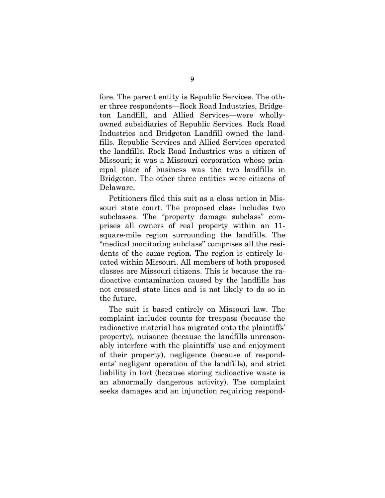fore. The parent entity is Republic Services. The other three respondents—Rock Road Industries, Bridgeton Landfill, and Allied Services—were whollyowned subsidiaries of Republic Services. Rock Road Industries and Bridgeton Landfill owned the landfills. Republic Services and Allied Services operated the landfills. Rock Road Industries was a citizen of Missouri; it was a Missouri corporation whose principal place of business was the two landfills in Bridgeton. The other three entities were citizens of Delaware.

Petitioners filed this suit as a class action in Missouri state court. The proposed class includes two subclasses. The "property damage subclass" comprises all owners of real property within an 11 square-mile region surrounding the landfills. The "medical monitoring subclass" comprises all the residents of the same region. The region is entirely located within Missouri. All members of both proposed classes are Missouri citizens. This is because the radioactive contamination caused by the landfills has not crossed state lines and is not likely to do so in the future.

The suit is based entirely on Missouri law. The complaint includes counts for trespass (because the radioactive material has migrated onto the plaintiffs' property), nuisance (because the landfills unreasonably interfere with the plaintiffs' use and enjoyment of their property), negligence (because of respondents' negligent operation of the landfills), and strict liability in tort (because storing radioactive waste is an abnormally dangerous activity). The complaint seeks damages and an injunction requiring respond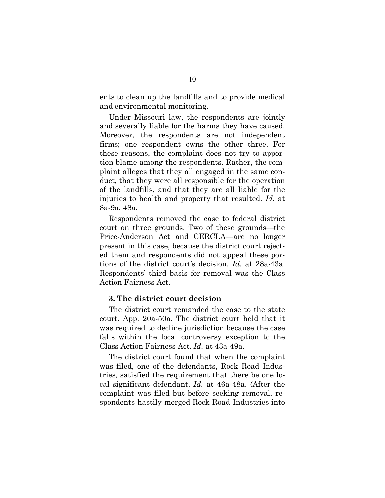ents to clean up the landfills and to provide medical and environmental monitoring.

Under Missouri law, the respondents are jointly and severally liable for the harms they have caused. Moreover, the respondents are not independent firms; one respondent owns the other three. For these reasons, the complaint does not try to apportion blame among the respondents. Rather, the complaint alleges that they all engaged in the same conduct, that they were all responsible for the operation of the landfills, and that they are all liable for the injuries to health and property that resulted. *Id.* at 8a-9a, 48a.

Respondents removed the case to federal district court on three grounds. Two of these grounds—the Price-Anderson Act and CERCLA—are no longer present in this case, because the district court rejected them and respondents did not appeal these portions of the district court's decision. *Id.* at 28a-43a. Respondents' third basis for removal was the Class Action Fairness Act.

#### **3. The district court decision**

The district court remanded the case to the state court. App. 20a-50a. The district court held that it was required to decline jurisdiction because the case falls within the local controversy exception to the Class Action Fairness Act. *Id.* at 43a-49a.

The district court found that when the complaint was filed, one of the defendants, Rock Road Industries, satisfied the requirement that there be one local significant defendant. *Id.* at 46a-48a. (After the complaint was filed but before seeking removal, respondents hastily merged Rock Road Industries into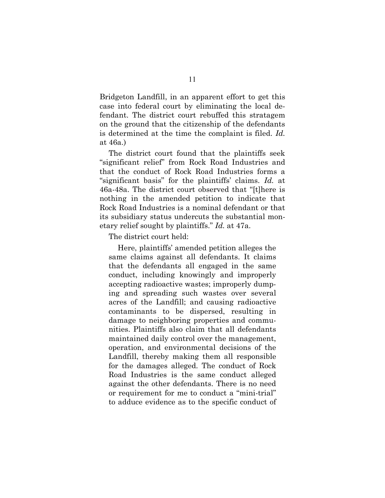Bridgeton Landfill, in an apparent effort to get this case into federal court by eliminating the local defendant. The district court rebuffed this stratagem on the ground that the citizenship of the defendants is determined at the time the complaint is filed. *Id.* at 46a.)

The district court found that the plaintiffs seek "significant relief" from Rock Road Industries and that the conduct of Rock Road Industries forms a "significant basis" for the plaintiffs' claims. *Id.* at 46a-48a. The district court observed that "[t]here is nothing in the amended petition to indicate that Rock Road Industries is a nominal defendant or that its subsidiary status undercuts the substantial monetary relief sought by plaintiffs." *Id.* at 47a.

The district court held:

Here, plaintiffs' amended petition alleges the same claims against all defendants. It claims that the defendants all engaged in the same conduct, including knowingly and improperly accepting radioactive wastes; improperly dumping and spreading such wastes over several acres of the Landfill; and causing radioactive contaminants to be dispersed, resulting in damage to neighboring properties and communities. Plaintiffs also claim that all defendants maintained daily control over the management, operation, and environmental decisions of the Landfill, thereby making them all responsible for the damages alleged. The conduct of Rock Road Industries is the same conduct alleged against the other defendants. There is no need or requirement for me to conduct a "mini-trial" to adduce evidence as to the specific conduct of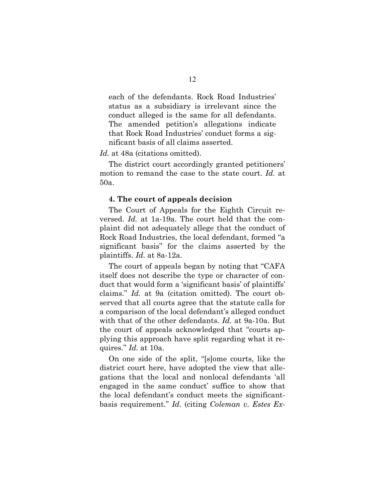each of the defendants. Rock Road Industries' status as a subsidiary is irrelevant since the conduct alleged is the same for all defendants. The amended petition's allegations indicate that Rock Road Industries' conduct forms a significant basis of all claims asserted.

#### *Id.* at 48a (citations omitted).

The district court accordingly granted petitioners' motion to remand the case to the state court. *Id.* at 50a.

#### **4. The court of appeals decision**

The Court of Appeals for the Eighth Circuit reversed. *Id.* at 1a-19a. The court held that the complaint did not adequately allege that the conduct of Rock Road Industries, the local defendant, formed "a significant basis" for the claims asserted by the plaintiffs. *Id.* at 8a-12a.

The court of appeals began by noting that "CAFA itself does not describe the type or character of conduct that would form a 'significant basis' of plaintiffs' claims." *Id.* at 9a (citation omitted). The court observed that all courts agree that the statute calls for a comparison of the local defendant's alleged conduct with that of the other defendants. *Id.* at 9a-10a. But the court of appeals acknowledged that "courts applying this approach have split regarding what it requires." *Id.* at 10a.

On one side of the split, "[s]ome courts, like the district court here, have adopted the view that allegations that the local and nonlocal defendants 'all engaged in the same conduct' suffice to show that the local defendant's conduct meets the significantbasis requirement." *Id.* (citing *Coleman v. Estes Ex-*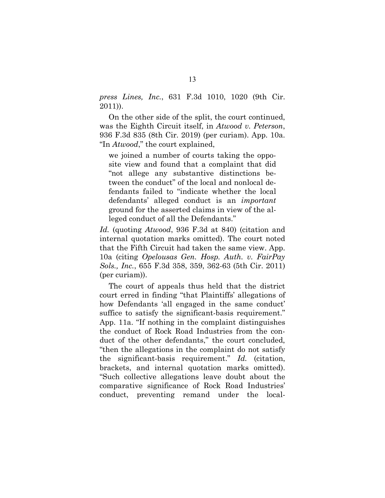*press Lines, Inc.*, 631 F.3d 1010, 1020 (9th Cir. 2011)).

On the other side of the split, the court continued, was the Eighth Circuit itself, in *Atwood v. Peterson*, 936 F.3d 835 (8th Cir. 2019) (per curiam). App. 10a. "In *Atwood*," the court explained,

we joined a number of courts taking the opposite view and found that a complaint that did "not allege any substantive distinctions between the conduct" of the local and nonlocal defendants failed to "indicate whether the local defendants' alleged conduct is an *important* ground for the asserted claims in view of the alleged conduct of all the Defendants."

*Id.* (quoting *Atwood*, 936 F.3d at 840) (citation and internal quotation marks omitted). The court noted that the Fifth Circuit had taken the same view. App. 10a (citing *Opelousas Gen. Hosp. Auth. v. FairPay Sols., Inc.*, 655 F.3d 358, 359, 362-63 (5th Cir. 2011) (per curiam)).

The court of appeals thus held that the district court erred in finding "that Plaintiffs' allegations of how Defendants 'all engaged in the same conduct' suffice to satisfy the significant-basis requirement." App. 11a. "If nothing in the complaint distinguishes the conduct of Rock Road Industries from the conduct of the other defendants," the court concluded, "then the allegations in the complaint do not satisfy the significant-basis requirement." *Id.* (citation, brackets, and internal quotation marks omitted). "Such collective allegations leave doubt about the comparative significance of Rock Road Industries' conduct, preventing remand under the local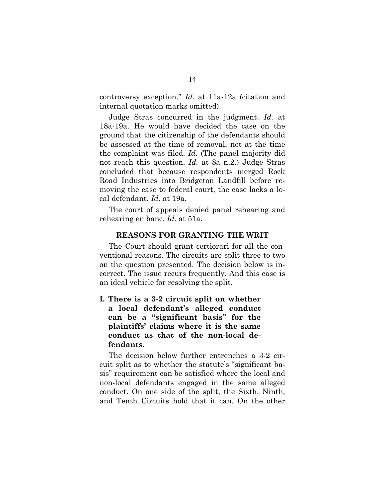controversy exception." *Id.* at 11a-12a (citation and internal quotation marks omitted).

Judge Stras concurred in the judgment. *Id.* at 18a-19a. He would have decided the case on the ground that the citizenship of the defendants should be assessed at the time of removal, not at the time the complaint was filed. *Id.* (The panel majority did not reach this question. *Id.* at 8a n.2.) Judge Stras concluded that because respondents merged Rock Road Industries into Bridgeton Landfill before removing the case to federal court, the case lacks a local defendant. *Id.* at 19a.

The court of appeals denied panel rehearing and rehearing en banc. *Id.* at 51a.

#### **REASONS FOR GRANTING THE WRIT**

The Court should grant certiorari for all the conventional reasons. The circuits are split three to two on the question presented. The decision below is incorrect. The issue recurs frequently. And this case is an ideal vehicle for resolving the split.

**I. There is a 3-2 circuit split on whether a local defendant's alleged conduct can be a "significant basis" for the plaintiffs' claims where it is the same conduct as that of the non-local defendants.**

The decision below further entrenches a 3-2 circuit split as to whether the statute's "significant basis" requirement can be satisfied where the local and non-local defendants engaged in the same alleged conduct. On one side of the split, the Sixth, Ninth, and Tenth Circuits hold that it can. On the other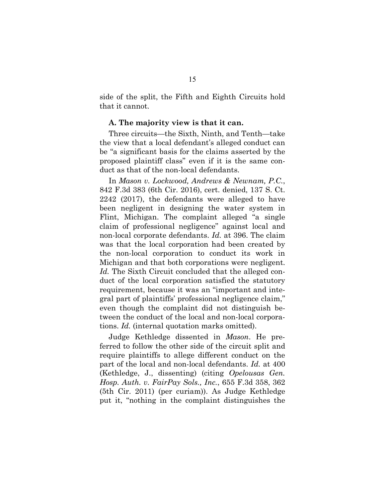side of the split, the Fifth and Eighth Circuits hold that it cannot.

#### **A. The majority view is that it can.**

Three circuits—the Sixth, Ninth, and Tenth—take the view that a local defendant's alleged conduct can be "a significant basis for the claims asserted by the proposed plaintiff class" even if it is the same conduct as that of the non-local defendants.

In *Mason v. Lockwood, Andrews & Newnam, P.C.*, 842 F.3d 383 (6th Cir. 2016), cert. denied, 137 S. Ct. 2242 (2017), the defendants were alleged to have been negligent in designing the water system in Flint, Michigan. The complaint alleged "a single claim of professional negligence" against local and non-local corporate defendants. *Id.* at 396. The claim was that the local corporation had been created by the non-local corporation to conduct its work in Michigan and that both corporations were negligent. *Id.* The Sixth Circuit concluded that the alleged conduct of the local corporation satisfied the statutory requirement, because it was an "important and integral part of plaintiffs' professional negligence claim," even though the complaint did not distinguish between the conduct of the local and non-local corporations. *Id.* (internal quotation marks omitted).

Judge Kethledge dissented in *Mason*. He preferred to follow the other side of the circuit split and require plaintiffs to allege different conduct on the part of the local and non-local defendants. *Id.* at 400 (Kethledge, J., dissenting) (citing *Opelousas Gen. Hosp. Auth. v. FairPay Sols., Inc.*, 655 F.3d 358, 362 (5th Cir. 2011) (per curiam)). As Judge Kethledge put it, "nothing in the complaint distinguishes the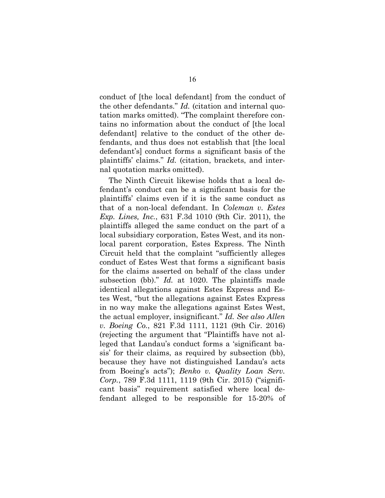conduct of [the local defendant] from the conduct of the other defendants." *Id.* (citation and internal quotation marks omitted). "The complaint therefore contains no information about the conduct of [the local defendant] relative to the conduct of the other defendants, and thus does not establish that [the local defendant's] conduct forms a significant basis of the plaintiffs' claims." *Id.* (citation, brackets, and internal quotation marks omitted).

The Ninth Circuit likewise holds that a local defendant's conduct can be a significant basis for the plaintiffs' claims even if it is the same conduct as that of a non-local defendant. In *Coleman v. Estes Exp. Lines, Inc.*, 631 F.3d 1010 (9th Cir. 2011), the plaintiffs alleged the same conduct on the part of a local subsidiary corporation, Estes West, and its nonlocal parent corporation, Estes Express. The Ninth Circuit held that the complaint "sufficiently alleges conduct of Estes West that forms a significant basis for the claims asserted on behalf of the class under subsection (bb)." *Id.* at 1020. The plaintiffs made identical allegations against Estes Express and Estes West, "but the allegations against Estes Express in no way make the allegations against Estes West, the actual employer, insignificant." *Id. See also Allen v. Boeing Co.*, 821 F.3d 1111, 1121 (9th Cir. 2016) (rejecting the argument that "Plaintiffs have not alleged that Landau's conduct forms a 'significant basis' for their claims, as required by subsection (bb), because they have not distinguished Landau's acts from Boeing's acts"); *Benko v. Quality Loan Serv. Corp.*, 789 F.3d 1111, 1119 (9th Cir. 2015) ("significant basis" requirement satisfied where local defendant alleged to be responsible for 15-20% of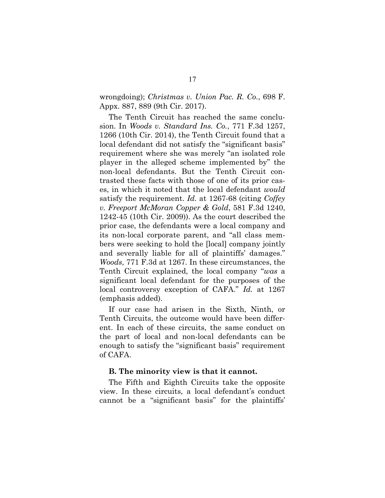wrongdoing); *Christmas v. Union Pac. R. Co.*, 698 F. Appx. 887, 889 (9th Cir. 2017).

The Tenth Circuit has reached the same conclusion. In *Woods v. Standard Ins. Co.*, 771 F.3d 1257, 1266 (10th Cir. 2014), the Tenth Circuit found that a local defendant did not satisfy the "significant basis" requirement where she was merely "an isolated role player in the alleged scheme implemented by" the non-local defendants. But the Tenth Circuit contrasted these facts with those of one of its prior cases, in which it noted that the local defendant *would* satisfy the requirement. *Id.* at 1267-68 (citing *Coffey v. Freeport McMoran Copper & Gold*, 581 F.3d 1240, 1242-45 (10th Cir. 2009)). As the court described the prior case, the defendants were a local company and its non-local corporate parent, and "all class members were seeking to hold the [local] company jointly and severally liable for all of plaintiffs' damages." *Woods*, 771 F.3d at 1267. In these circumstances, the Tenth Circuit explained, the local company "*was* a significant local defendant for the purposes of the local controversy exception of CAFA." *Id.* at 1267 (emphasis added).

If our case had arisen in the Sixth, Ninth, or Tenth Circuits, the outcome would have been different. In each of these circuits, the same conduct on the part of local and non-local defendants can be enough to satisfy the "significant basis" requirement of CAFA.

#### **B. The minority view is that it cannot.**

The Fifth and Eighth Circuits take the opposite view. In these circuits, a local defendant's conduct cannot be a "significant basis" for the plaintiffs'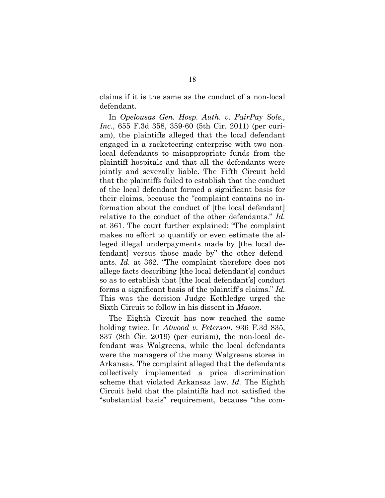claims if it is the same as the conduct of a non-local defendant.

In *Opelousas Gen. Hosp. Auth. v. FairPay Sols., Inc.*, 655 F.3d 358, 359-60 (5th Cir. 2011) (per curiam), the plaintiffs alleged that the local defendant engaged in a racketeering enterprise with two nonlocal defendants to misappropriate funds from the plaintiff hospitals and that all the defendants were jointly and severally liable. The Fifth Circuit held that the plaintiffs failed to establish that the conduct of the local defendant formed a significant basis for their claims, because the "complaint contains no information about the conduct of [the local defendant] relative to the conduct of the other defendants." *Id.* at 361. The court further explained: "The complaint makes no effort to quantify or even estimate the alleged illegal underpayments made by [the local defendant] versus those made by" the other defendants. *Id.* at 362. "The complaint therefore does not allege facts describing [the local defendant's] conduct so as to establish that [the local defendant's] conduct forms a significant basis of the plaintiff's claims." *Id.* This was the decision Judge Kethledge urged the Sixth Circuit to follow in his dissent in *Mason*.

The Eighth Circuit has now reached the same holding twice. In *Atwood v. Peterson*, 936 F.3d 835, 837 (8th Cir. 2019) (per curiam), the non-local defendant was Walgreens, while the local defendants were the managers of the many Walgreens stores in Arkansas. The complaint alleged that the defendants collectively implemented a price discrimination scheme that violated Arkansas law. *Id.* The Eighth Circuit held that the plaintiffs had not satisfied the "substantial basis" requirement, because "the com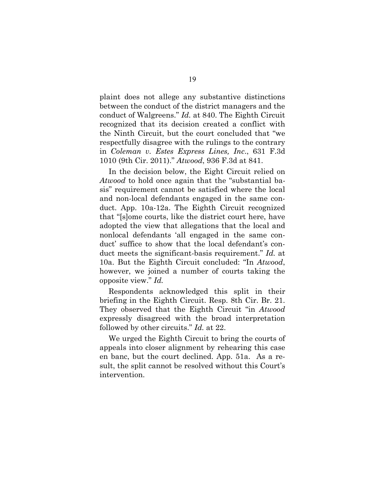plaint does not allege any substantive distinctions between the conduct of the district managers and the conduct of Walgreens." *Id.* at 840. The Eighth Circuit recognized that its decision created a conflict with the Ninth Circuit, but the court concluded that "we respectfully disagree with the rulings to the contrary in *Coleman v. Estes Express Lines, Inc*., 631 F.3d 1010 (9th Cir. 2011)." *Atwood*, 936 F.3d at 841.

In the decision below, the Eight Circuit relied on *Atwood* to hold once again that the "substantial basis" requirement cannot be satisfied where the local and non-local defendants engaged in the same conduct. App. 10a-12a. The Eighth Circuit recognized that "[s]ome courts, like the district court here, have adopted the view that allegations that the local and nonlocal defendants 'all engaged in the same conduct' suffice to show that the local defendant's conduct meets the significant-basis requirement." *Id.* at 10a. But the Eighth Circuit concluded: "In *Atwood*, however, we joined a number of courts taking the opposite view." *Id.*

Respondents acknowledged this split in their briefing in the Eighth Circuit. Resp. 8th Cir. Br. 21. They observed that the Eighth Circuit "in *Atwood* expressly disagreed with the broad interpretation followed by other circuits." *Id.* at 22.

We urged the Eighth Circuit to bring the courts of appeals into closer alignment by rehearing this case en banc, but the court declined. App. 51a. As a result, the split cannot be resolved without this Court's intervention.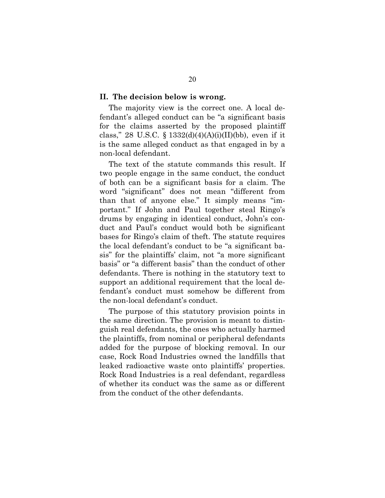#### **II. The decision below is wrong.**

The majority view is the correct one. A local defendant's alleged conduct can be "a significant basis for the claims asserted by the proposed plaintiff class," 28 U.S.C. § 1332(d)(4)(A)(i)(II)(bb), even if it is the same alleged conduct as that engaged in by a non-local defendant.

The text of the statute commands this result. If two people engage in the same conduct, the conduct of both can be a significant basis for a claim. The word "significant" does not mean "different from than that of anyone else." It simply means "important." If John and Paul together steal Ringo's drums by engaging in identical conduct, John's conduct and Paul's conduct would both be significant bases for Ringo's claim of theft. The statute requires the local defendant's conduct to be "a significant basis" for the plaintiffs' claim, not "a more significant basis" or "a different basis" than the conduct of other defendants. There is nothing in the statutory text to support an additional requirement that the local defendant's conduct must somehow be different from the non-local defendant's conduct.

The purpose of this statutory provision points in the same direction. The provision is meant to distinguish real defendants, the ones who actually harmed the plaintiffs, from nominal or peripheral defendants added for the purpose of blocking removal. In our case, Rock Road Industries owned the landfills that leaked radioactive waste onto plaintiffs' properties. Rock Road Industries is a real defendant, regardless of whether its conduct was the same as or different from the conduct of the other defendants.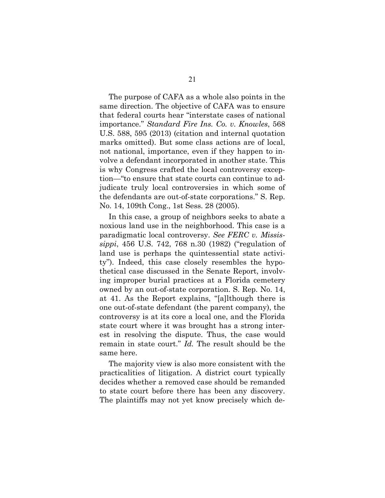The purpose of CAFA as a whole also points in the same direction. The objective of CAFA was to ensure that federal courts hear "interstate cases of national importance." *Standard Fire Ins. Co. v. Knowles*, 568 U.S. 588, 595 (2013) (citation and internal quotation marks omitted). But some class actions are of local, not national, importance, even if they happen to involve a defendant incorporated in another state. This is why Congress crafted the local controversy exception—"to ensure that state courts can continue to adjudicate truly local controversies in which some of the defendants are out-of-state corporations." S. Rep. No. 14, 109th Cong., 1st Sess. 28 (2005).

In this case, a group of neighbors seeks to abate a noxious land use in the neighborhood. This case is a paradigmatic local controversy. *See FERC v. Mississippi*, 456 U.S. 742, 768 n.30 (1982) ("regulation of land use is perhaps the quintessential state activity"). Indeed, this case closely resembles the hypothetical case discussed in the Senate Report, involving improper burial practices at a Florida cemetery owned by an out-of-state corporation. S. Rep. No. 14, at 41. As the Report explains, "[a]lthough there is one out-of-state defendant (the parent company), the controversy is at its core a local one, and the Florida state court where it was brought has a strong interest in resolving the dispute. Thus, the case would remain in state court." *Id.* The result should be the same here.

The majority view is also more consistent with the practicalities of litigation. A district court typically decides whether a removed case should be remanded to state court before there has been any discovery. The plaintiffs may not yet know precisely which de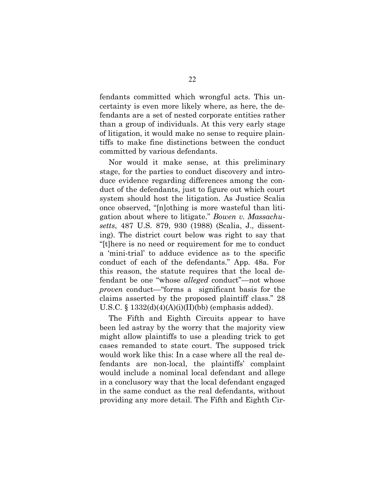fendants committed which wrongful acts. This uncertainty is even more likely where, as here, the defendants are a set of nested corporate entities rather than a group of individuals. At this very early stage of litigation, it would make no sense to require plaintiffs to make fine distinctions between the conduct committed by various defendants.

Nor would it make sense, at this preliminary stage, for the parties to conduct discovery and introduce evidence regarding differences among the conduct of the defendants, just to figure out which court system should host the litigation. As Justice Scalia once observed, "[n]othing is more wasteful than litigation about where to litigate." *Bowen v. Massachusetts*, 487 U.S. 879, 930 (1988) (Scalia, J., dissenting). The district court below was right to say that "[t]here is no need or requirement for me to conduct a 'mini-trial' to adduce evidence as to the specific conduct of each of the defendants." App. 48a. For this reason, the statute requires that the local defendant be one "whose *alleged* conduct"—not whose *proven* conduct—"forms a significant basis for the claims asserted by the proposed plaintiff class." 28 U.S.C.  $\S 1332(d)(4)(A)(i)(II)(bb)$  (emphasis added).

The Fifth and Eighth Circuits appear to have been led astray by the worry that the majority view might allow plaintiffs to use a pleading trick to get cases remanded to state court. The supposed trick would work like this: In a case where all the real defendants are non-local, the plaintiffs' complaint would include a nominal local defendant and allege in a conclusory way that the local defendant engaged in the same conduct as the real defendants, without providing any more detail. The Fifth and Eighth Cir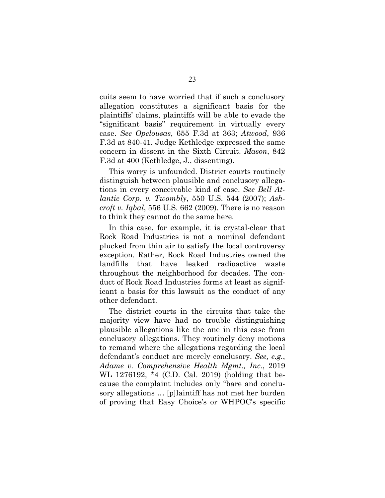cuits seem to have worried that if such a conclusory allegation constitutes a significant basis for the plaintiffs' claims, plaintiffs will be able to evade the "significant basis" requirement in virtually every case. *See Opelousas*, 655 F.3d at 363; *Atwood*, 936 F.3d at 840-41. Judge Kethledge expressed the same concern in dissent in the Sixth Circuit. *Mason*, 842 F.3d at 400 (Kethledge, J., dissenting).

This worry is unfounded. District courts routinely distinguish between plausible and conclusory allegations in every conceivable kind of case. *See Bell Atlantic Corp. v. Twombly*, 550 U.S. 544 (2007); *Ashcroft v. Iqbal*, 556 U.S. 662 (2009). There is no reason to think they cannot do the same here.

In this case, for example, it is crystal-clear that Rock Road Industries is not a nominal defendant plucked from thin air to satisfy the local controversy exception. Rather, Rock Road Industries owned the landfills that have leaked radioactive waste throughout the neighborhood for decades. The conduct of Rock Road Industries forms at least as significant a basis for this lawsuit as the conduct of any other defendant.

The district courts in the circuits that take the majority view have had no trouble distinguishing plausible allegations like the one in this case from conclusory allegations. They routinely deny motions to remand where the allegations regarding the local defendant's conduct are merely conclusory. *See, e.g.*, *Adame v. Comprehensive Health Mgmt., Inc.*, 2019 WL 1276192, \*4 (C.D. Cal. 2019) (holding that because the complaint includes only "bare and conclusory allegations … [p]laintiff has not met her burden of proving that Easy Choice's or WHPOC's specific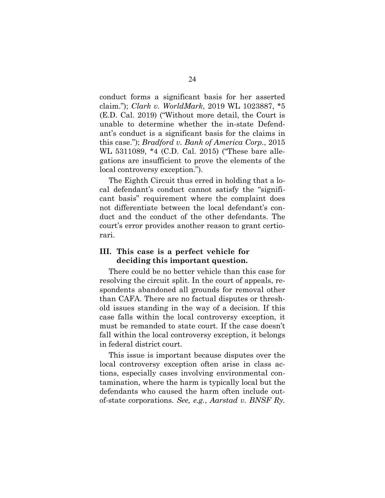conduct forms a significant basis for her asserted claim."); *Clark v. WorldMark*, 2019 WL 1023887, \*5 (E.D. Cal. 2019) ("Without more detail, the Court is unable to determine whether the in-state Defendant's conduct is a significant basis for the claims in this case."); *Bradford v. Bank of America Corp.*, 2015 WL 5311089, \*4 (C.D. Cal. 2015) ("These bare allegations are insufficient to prove the elements of the local controversy exception.").

The Eighth Circuit thus erred in holding that a local defendant's conduct cannot satisfy the "significant basis" requirement where the complaint does not differentiate between the local defendant's conduct and the conduct of the other defendants. The court's error provides another reason to grant certiorari.

## **III. This case is a perfect vehicle for deciding this important question.**

There could be no better vehicle than this case for resolving the circuit split. In the court of appeals, respondents abandoned all grounds for removal other than CAFA. There are no factual disputes or threshold issues standing in the way of a decision. If this case falls within the local controversy exception, it must be remanded to state court. If the case doesn't fall within the local controversy exception, it belongs in federal district court.

This issue is important because disputes over the local controversy exception often arise in class actions, especially cases involving environmental contamination, where the harm is typically local but the defendants who caused the harm often include outof-state corporations. *See, e.g.*, *Aarstad v. BNSF Ry.*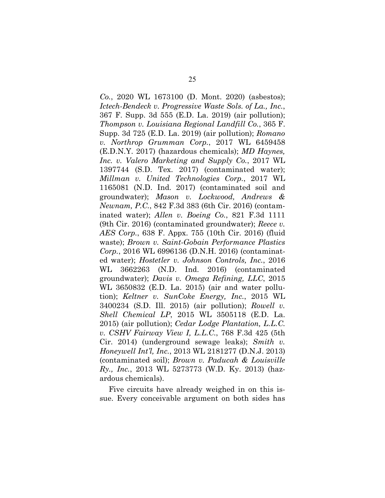*Co.*, 2020 WL 1673100 (D. Mont. 2020) (asbestos); *Ictech-Bendeck v. Progressive Waste Sols. of La., Inc.*, 367 F. Supp. 3d 555 (E.D. La. 2019) (air pollution); *Thompson v. Louisiana Regional Landfill Co.*, 365 F. Supp. 3d 725 (E.D. La. 2019) (air pollution); *Romano v. Northrop Grumman Corp.*, 2017 WL 6459458 (E.D.N.Y. 2017) (hazardous chemicals); *MD Haynes, Inc. v. Valero Marketing and Supply Co.*, 2017 WL 1397744 (S.D. Tex. 2017) (contaminated water); *Millman v. United Technologies Corp.*, 2017 WL 1165081 (N.D. Ind. 2017) (contaminated soil and groundwater); *Mason v. Lockwood, Andrews & Newnam, P.C.*, 842 F.3d 383 (6th Cir. 2016) (contaminated water); *Allen v. Boeing Co.*, 821 F.3d 1111 (9th Cir. 2016) (contaminated groundwater); *Reece v. AES Corp.*, 638 F. Appx. 755 (10th Cir. 2016) (fluid waste); *Brown v. Saint-Gobain Performance Plastics Corp.*, 2016 WL 6996136 (D.N.H. 2016) (contaminated water); *Hostetler v. Johnson Controls, Inc.*, 2016 WL 3662263 (N.D. Ind. 2016) (contaminated groundwater); *Davis v. Omega Refining, LLC*, 2015 WL 3650832 (E.D. La. 2015) (air and water pollution); *Keltner v. SunCoke Energy, Inc.*, 2015 WL 3400234 (S.D. Ill. 2015) (air pollution); *Rowell v. Shell Chemical LP*, 2015 WL 3505118 (E.D. La. 2015) (air pollution); *Cedar Lodge Plantation, L.L.C. v. CSHV Fairway View I, L.L.C.*, 768 F.3d 425 (5th Cir. 2014) (underground sewage leaks); *Smith v. Honeywell Int'l, Inc.*, 2013 WL 2181277 (D.N.J. 2013) (contaminated soil); *Brown v. Paducah & Louisville Ry., Inc.*, 2013 WL 5273773 (W.D. Ky. 2013) (hazardous chemicals).

Five circuits have already weighed in on this issue. Every conceivable argument on both sides has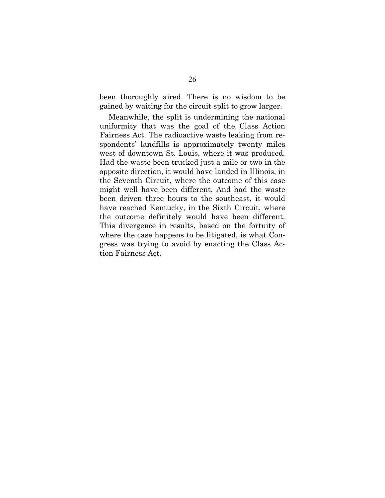been thoroughly aired. There is no wisdom to be gained by waiting for the circuit split to grow larger.

Meanwhile, the split is undermining the national uniformity that was the goal of the Class Action Fairness Act. The radioactive waste leaking from respondents' landfills is approximately twenty miles west of downtown St. Louis, where it was produced. Had the waste been trucked just a mile or two in the opposite direction, it would have landed in Illinois, in the Seventh Circuit, where the outcome of this case might well have been different. And had the waste been driven three hours to the southeast, it would have reached Kentucky, in the Sixth Circuit, where the outcome definitely would have been different. This divergence in results, based on the fortuity of where the case happens to be litigated, is what Congress was trying to avoid by enacting the Class Action Fairness Act.